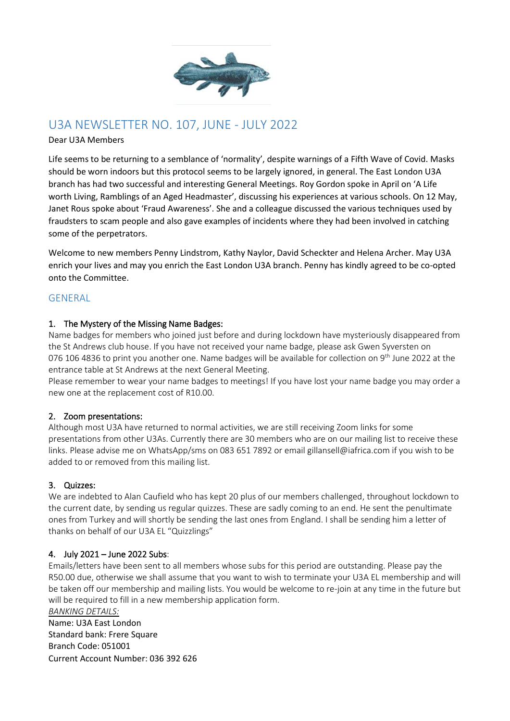

# U3A NEWSLETTER NO. 107, JUNE - JULY 2022

### Dear U3A Members

Life seems to be returning to a semblance of 'normality', despite warnings of a Fifth Wave of Covid. Masks should be worn indoors but this protocol seems to be largely ignored, in general. The East London U3A branch has had two successful and interesting General Meetings. Roy Gordon spoke in April on 'A Life worth Living, Ramblings of an Aged Headmaster', discussing his experiences at various schools. On 12 May, Janet Rous spoke about 'Fraud Awareness'. She and a colleague discussed the various techniques used by fraudsters to scam people and also gave examples of incidents where they had been involved in catching some of the perpetrators.

Welcome to new members Penny Lindstrom, Kathy Naylor, David Scheckter and Helena Archer. May U3A enrich your lives and may you enrich the East London U3A branch. Penny has kindly agreed to be co-opted onto the Committee.

# **GENERAL**

### 1. The Mystery of the Missing Name Badges:

Name badges for members who joined just before and during lockdown have mysteriously disappeared from the St Andrews club house. If you have not received your name badge, please ask Gwen Syversten on 076 106 4836 to print you another one. Name badges will be available for collection on 9<sup>th</sup> June 2022 at the entrance table at St Andrews at the next General Meeting.

Please remember to wear your name badges to meetings! If you have lost your name badge you may order a new one at the replacement cost of R10.00.

### 2. Zoom presentations:

Although most U3A have returned to normal activities, we are still receiving Zoom links for some presentations from other U3As. Currently there are 30 members who are on our mailing list to receive these links. Please advise me on WhatsApp/sms on 083 651 7892 or email gillansell@iafrica.com if you wish to be added to or removed from this mailing list.

### 3. Quizzes:

We are indebted to Alan Caufield who has kept 20 plus of our members challenged, throughout lockdown to the current date, by sending us regular quizzes. These are sadly coming to an end. He sent the penultimate ones from Turkey and will shortly be sending the last ones from England. I shall be sending him a letter of thanks on behalf of our U3A EL "Quizzlings"

### 4. July 2021 – June 2022 Subs:

Emails/letters have been sent to all members whose subs for this period are outstanding. Please pay the R50.00 due, otherwise we shall assume that you want to wish to terminate your U3A EL membership and will be taken off our membership and mailing lists. You would be welcome to re-join at any time in the future but will be required to fill in a new membership application form. *BANKING DETAILS:*

Name: U3A East London Standard bank: Frere Square Branch Code: 051001 Current Account Number: 036 392 626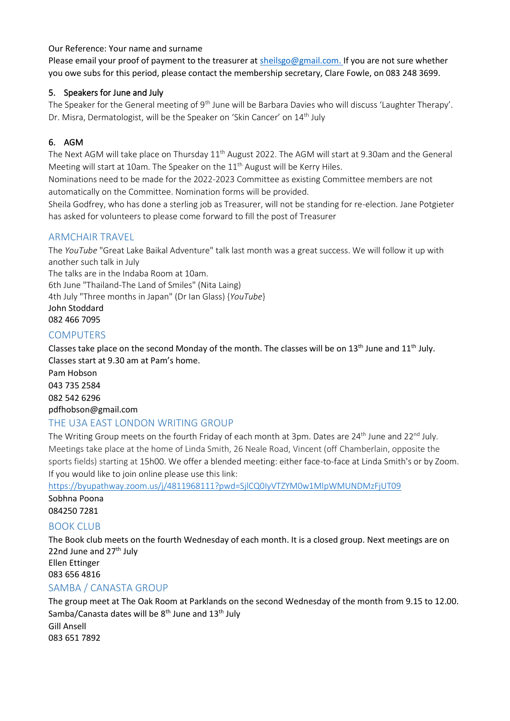### Our Reference: Your name and surname

Please email your proof of payment to the treasurer at [sheilsgo@gmail.com.](mailto:sheilsgo@gmail.com) If you are not sure whether you owe subs for this period, please contact the membership secretary, Clare Fowle, on 083 248 3699.

### 5. Speakers for June and July

The Speaker for the General meeting of 9<sup>th</sup> June will be Barbara Davies who will discuss 'Laughter Therapy'. Dr. Misra, Dermatologist, will be the Speaker on 'Skin Cancer' on 14<sup>th</sup> July

# 6. AGM

The Next AGM will take place on Thursday 11<sup>th</sup> August 2022. The AGM will start at 9.30am and the General Meeting will start at 10am. The Speaker on the  $11<sup>th</sup>$  August will be Kerry Hiles.

Nominations need to be made for the 2022-2023 Committee as existing Committee members are not automatically on the Committee. Nomination forms will be provided.

Sheila Godfrey, who has done a sterling job as Treasurer, will not be standing for re-election. Jane Potgieter has asked for volunteers to please come forward to fill the post of Treasurer

# ARMCHAIR TRAVEL

The *YouTube* "Great Lake Baikal Adventure" talk last month was a great success. We will follow it up with another such talk in July

The talks are in the Indaba Room at 10am. 6th June "Thailand-The Land of Smiles" (Nita Laing) 4th July "Three months in Japan" (Dr Ian Glass) {*YouTube*} John Stoddard 082 466 7095

# **COMPUTERS**

Classes take place on the second Monday of the month. The classes will be on  $13<sup>th</sup>$  June and  $11<sup>th</sup>$  July. Classes start at 9.30 am at Pam's home.

Pam Hobson 043 735 2584 082 542 6296 [pdfhobson@gmail.com](mailto:pdfhobson@gmail.com)

# THE U3A EAST LONDON WRITING GROUP

The Writing Group meets on the fourth Friday of each month at 3pm. Dates are 24<sup>th</sup> June and 22<sup>nd</sup> July. Meetings take place at the home of Linda Smith, 26 Neale Road, Vincent (off Chamberlain, opposite the sports fields) starting at 15h00. We offer a blended meeting: either face-to-face at Linda Smith's or by Zoom. If you would like to join online please use this link:

<https://byupathway.zoom.us/j/4811968111?pwd=SjlCQ0IyVTZYM0w1MlpWMUNDMzFjUT09>

Sobhna Poona

084250 7281

# **BOOK CLUB**

The Book club meets on the fourth Wednesday of each month. It is a closed group. Next meetings are on 22nd June and  $27<sup>th</sup>$  July Ellen Ettinger

083 656 4816

# SAMBA / CANASTA GROUP

The group meet at The Oak Room at Parklands on the second Wednesday of the month from 9.15 to 12.00. Samba/Canasta dates will be 8<sup>th</sup> June and 13<sup>th</sup> July Gill Ansell 083 651 7892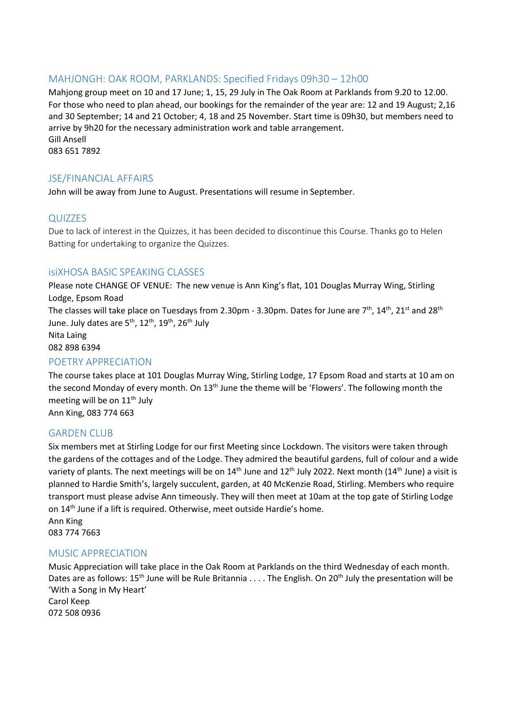### MAHJONGH: OAK ROOM, PARKLANDS: Specified Fridays 09h30 – 12h00

Mahjong group meet on 10 and 17 June; 1, 15, 29 July in The Oak Room at Parklands from 9.20 to 12.00. For those who need to plan ahead, our bookings for the remainder of the year are: 12 and 19 August; 2,16 and 30 September; 14 and 21 October; 4, 18 and 25 November. Start time is 09h30, but members need to arrive by 9h20 for the necessary administration work and table arrangement. Gill Ansell 083 651 7892

### JSE/FINANCIAL AFFAIRS

John will be away from June to August. Presentations will resume in September.

### QUIZZES

Due to lack of interest in the Quizzes, it has been decided to discontinue this Course. Thanks go to Helen Batting for undertaking to organize the Quizzes.

### isiXHOSA BASIC SPEAKING CLASSES

Please note CHANGE OF VENUE: The new venue is Ann King's flat, 101 Douglas Murray Wing, Stirling Lodge, Epsom Road The classes will take place on Tuesdays from 2.30pm - 3.30pm. Dates for June are  $7<sup>th</sup>$ ,  $14<sup>th</sup>$ ,  $21<sup>st</sup>$  and  $28<sup>th</sup>$ June. July dates are  $5^{th}$ ,  $12^{th}$ ,  $19^{th}$ ,  $26^{th}$  July Nita Laing 082 898 6394

### POETRY APPRECIATION

The course takes place at 101 Douglas Murray Wing, Stirling Lodge, 17 Epsom Road and starts at 10 am on the second Monday of every month. On 13<sup>th</sup> June the theme will be 'Flowers'. The following month the meeting will be on  $11<sup>th</sup>$  July

Ann King, 083 774 663

### GARDEN CLUB

Six members met at Stirling Lodge for our first Meeting since Lockdown. The visitors were taken through the gardens of the cottages and of the Lodge. They admired the beautiful gardens, full of colour and a wide variety of plants. The next meetings will be on 14<sup>th</sup> June and 12<sup>th</sup> July 2022. Next month (14<sup>th</sup> June) a visit is planned to Hardie Smith's, largely succulent, garden, at 40 McKenzie Road, Stirling. Members who require transport must please advise Ann timeously. They will then meet at 10am at the top gate of Stirling Lodge on 14th June if a lift is required. Otherwise, meet outside Hardie's home.

Ann King 083 774 7663

#### MUSIC APPRECIATION

Music Appreciation will take place in the Oak Room at Parklands on the third Wednesday of each month. Dates are as follows:  $15^{th}$  June will be Rule Britannia . . . . The English. On  $20^{th}$  July the presentation will be 'With a Song in My Heart'

Carol Keep 072 508 0936